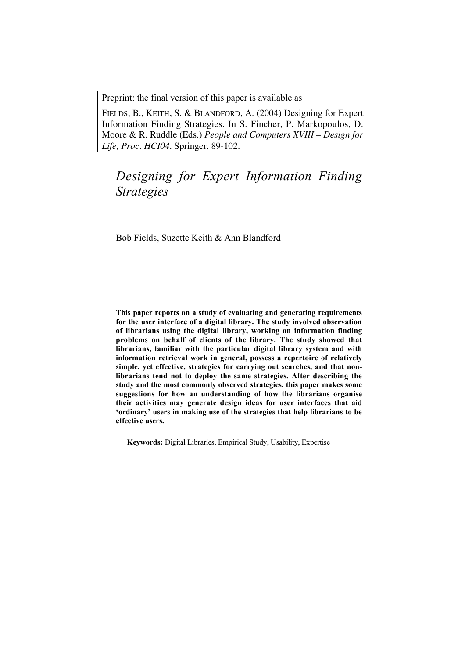Preprint: the final version of this paper is available as FIELDS, B., KEITH, S. & BLANDFORD, A. (2004) Designing for Expert Information Finding Strategies. In S. Fincher, P. Markopoulos, D. Moore & R. Ruddle (Eds.) *People and Computers XVIII – Design for Life, Proc. HCI04*. Springer. 89-102.

# *Designing for Expert Information Finding Strategies*

Bob Fields, Suzette Keith & Ann Blandford

**This paper reports on a study of evaluating and generating requirements for the user interface of a digital library. The study involved observation of librarians using the digital library, working on information finding problems on behalf of clients of the library. The study showed that librarians, familiar with the particular digital library system and with information retrieval work in general, possess a repertoire of relatively simple, yet effective, strategies for carrying out searches, and that nonlibrarians tend not to deploy the same strategies. After describing the study and the most commonly observed strategies, this paper makes some suggestions for how an understanding of how the librarians organise their activities may generate design ideas for user interfaces that aid 'ordinary' users in making use of the strategies that help librarians to be effective users.**

**Keywords:** Digital Libraries, Empirical Study, Usability, Expertise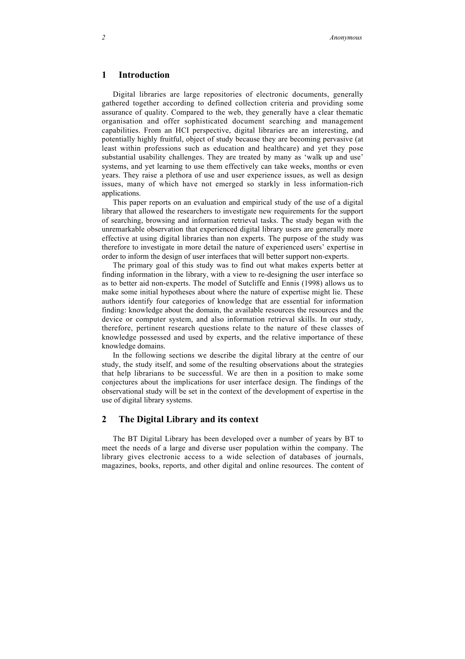## **1 Introduction**

Digital libraries are large repositories of electronic documents, generally gathered together according to defined collection criteria and providing some assurance of quality. Compared to the web, they generally have a clear thematic organisation and offer sophisticated document searching and management capabilities. From an HCI perspective, digital libraries are an interesting, and potentially highly fruitful, object of study because they are becoming pervasive (at least within professions such as education and healthcare) and yet they pose substantial usability challenges. They are treated by many as 'walk up and use' systems, and yet learning to use them effectively can take weeks, months or even years. They raise a plethora of use and user experience issues, as well as design issues, many of which have not emerged so starkly in less information-rich applications.

This paper reports on an evaluation and empirical study of the use of a digital library that allowed the researchers to investigate new requirements for the support of searching, browsing and information retrieval tasks. The study began with the unremarkable observation that experienced digital library users are generally more effective at using digital libraries than non experts. The purpose of the study was therefore to investigate in more detail the nature of experienced users' expertise in order to inform the design of user interfaces that will better support non-experts.

The primary goal of this study was to find out what makes experts better at finding information in the library, with a view to re-designing the user interface so as to better aid non-experts. The model of Sutcliffe and Ennis (1998) allows us to make some initial hypotheses about where the nature of expertise might lie. These authors identify four categories of knowledge that are essential for information finding: knowledge about the domain, the available resources the resources and the device or computer system, and also information retrieval skills. In our study, therefore, pertinent research questions relate to the nature of these classes of knowledge possessed and used by experts, and the relative importance of these knowledge domains.

In the following sections we describe the digital library at the centre of our study, the study itself, and some of the resulting observations about the strategies that help librarians to be successful. We are then in a position to make some conjectures about the implications for user interface design. The findings of the observational study will be set in the context of the development of expertise in the use of digital library systems.

## **2 The Digital Library and its context**

The BT Digital Library has been developed over a number of years by BT to meet the needs of a large and diverse user population within the company. The library gives electronic access to a wide selection of databases of journals, magazines, books, reports, and other digital and online resources. The content of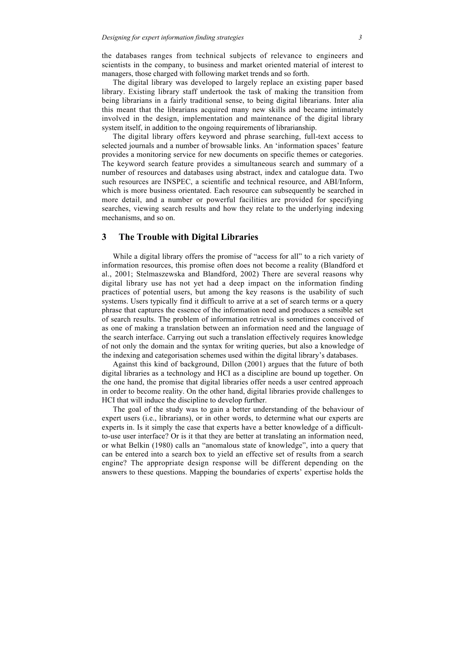the databases ranges from technical subjects of relevance to engineers and scientists in the company, to business and market oriented material of interest to managers, those charged with following market trends and so forth.

The digital library was developed to largely replace an existing paper based library. Existing library staff undertook the task of making the transition from being librarians in a fairly traditional sense, to being digital librarians. Inter alia this meant that the librarians acquired many new skills and became intimately involved in the design, implementation and maintenance of the digital library system itself, in addition to the ongoing requirements of librarianship.

The digital library offers keyword and phrase searching, full-text access to selected journals and a number of browsable links. An 'information spaces' feature provides a monitoring service for new documents on specific themes or categories. The keyword search feature provides a simultaneous search and summary of a number of resources and databases using abstract, index and catalogue data. Two such resources are INSPEC, a scientific and technical resource, and ABI/Inform, which is more business orientated. Each resource can subsequently be searched in more detail, and a number or powerful facilities are provided for specifying searches, viewing search results and how they relate to the underlying indexing mechanisms, and so on.

## **3 The Trouble with Digital Libraries**

While a digital library offers the promise of "access for all" to a rich variety of information resources, this promise often does not become a reality (Blandford et al., 2001; Stelmaszewska and Blandford, 2002) There are several reasons why digital library use has not yet had a deep impact on the information finding practices of potential users, but among the key reasons is the usability of such systems. Users typically find it difficult to arrive at a set of search terms or a query phrase that captures the essence of the information need and produces a sensible set of search results. The problem of information retrieval is sometimes conceived of as one of making a translation between an information need and the language of the search interface. Carrying out such a translation effectively requires knowledge of not only the domain and the syntax for writing queries, but also a knowledge of the indexing and categorisation schemes used within the digital library's databases.

Against this kind of background, Dillon (2001) argues that the future of both digital libraries as a technology and HCI as a discipline are bound up together. On the one hand, the promise that digital libraries offer needs a user centred approach in order to become reality. On the other hand, digital libraries provide challenges to HCI that will induce the discipline to develop further.

The goal of the study was to gain a better understanding of the behaviour of expert users (i.e., librarians), or in other words, to determine what our experts are experts in. Is it simply the case that experts have a better knowledge of a difficultto-use user interface? Or is it that they are better at translating an information need, or what Belkin (1980) calls an "anomalous state of knowledge", into a query that can be entered into a search box to yield an effective set of results from a search engine? The appropriate design response will be different depending on the answers to these questions. Mapping the boundaries of experts' expertise holds the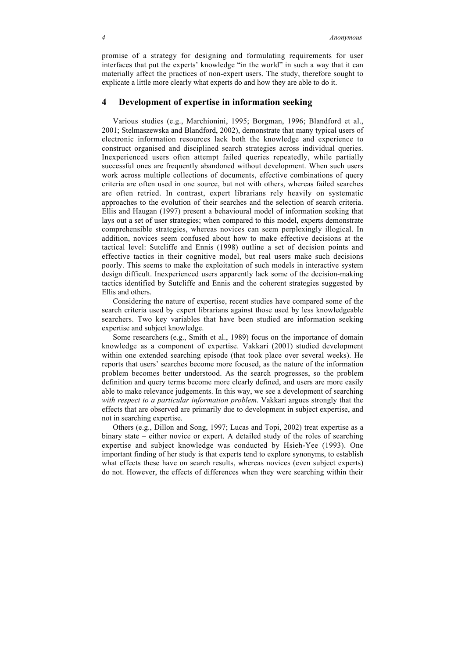promise of a strategy for designing and formulating requirements for user interfaces that put the experts' knowledge "in the world" in such a way that it can materially affect the practices of non-expert users. The study, therefore sought to explicate a little more clearly what experts do and how they are able to do it.

#### **4 Development of expertise in information seeking**

Various studies (e.g., Marchionini, 1995; Borgman, 1996; Blandford et al., 2001; Stelmaszewska and Blandford, 2002), demonstrate that many typical users of electronic information resources lack both the knowledge and experience to construct organised and disciplined search strategies across individual queries. Inexperienced users often attempt failed queries repeatedly, while partially successful ones are frequently abandoned without development. When such users work across multiple collections of documents, effective combinations of query criteria are often used in one source, but not with others, whereas failed searches are often retried. In contrast, expert librarians rely heavily on systematic approaches to the evolution of their searches and the selection of search criteria. Ellis and Haugan (1997) present a behavioural model of information seeking that lays out a set of user strategies; when compared to this model, experts demonstrate comprehensible strategies, whereas novices can seem perplexingly illogical. In addition, novices seem confused about how to make effective decisions at the tactical level: Sutcliffe and Ennis (1998) outline a set of decision points and effective tactics in their cognitive model, but real users make such decisions poorly. This seems to make the exploitation of such models in interactive system design difficult. Inexperienced users apparently lack some of the decision-making tactics identified by Sutcliffe and Ennis and the coherent strategies suggested by Ellis and others.

Considering the nature of expertise, recent studies have compared some of the search criteria used by expert librarians against those used by less knowledgeable searchers. Two key variables that have been studied are information seeking expertise and subject knowledge.

Some researchers (e.g., Smith et al., 1989) focus on the importance of domain knowledge as a component of expertise. Vakkari (2001) studied development within one extended searching episode (that took place over several weeks). He reports that users' searches become more focused, as the nature of the information problem becomes better understood. As the search progresses, so the problem definition and query terms become more clearly defined, and users are more easily able to make relevance judgements. In this way, we see a development of searching *with respect to a particular information problem*. Vakkari argues strongly that the effects that are observed are primarily due to development in subject expertise, and not in searching expertise.

Others (e.g., Dillon and Song, 1997; Lucas and Topi, 2002) treat expertise as a binary state – either novice or expert. A detailed study of the roles of searching expertise and subject knowledge was conducted by Hsieh-Yee (1993). One important finding of her study is that experts tend to explore synonyms, to establish what effects these have on search results, whereas novices (even subject experts) do not. However, the effects of differences when they were searching within their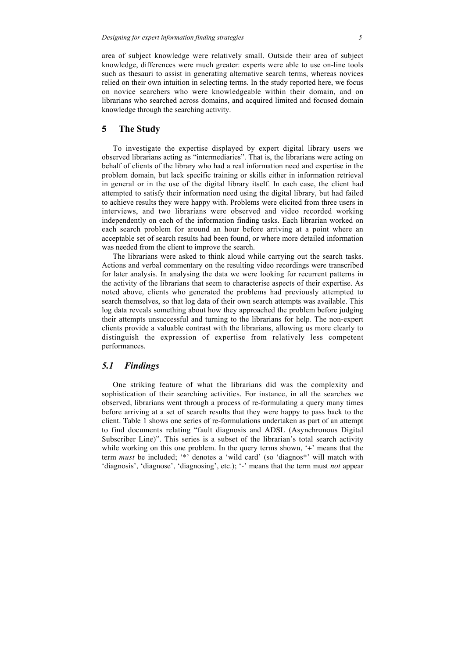area of subject knowledge were relatively small. Outside their area of subject knowledge, differences were much greater: experts were able to use on-line tools such as thesauri to assist in generating alternative search terms, whereas novices relied on their own intuition in selecting terms. In the study reported here, we focus on novice searchers who were knowledgeable within their domain, and on librarians who searched across domains, and acquired limited and focused domain knowledge through the searching activity.

## **5 The Study**

To investigate the expertise displayed by expert digital library users we observed librarians acting as "intermediaries". That is, the librarians were acting on behalf of clients of the library who had a real information need and expertise in the problem domain, but lack specific training or skills either in information retrieval in general or in the use of the digital library itself. In each case, the client had attempted to satisfy their information need using the digital library, but had failed to achieve results they were happy with. Problems were elicited from three users in interviews, and two librarians were observed and video recorded working independently on each of the information finding tasks. Each librarian worked on each search problem for around an hour before arriving at a point where an acceptable set of search results had been found, or where more detailed information was needed from the client to improve the search.

The librarians were asked to think aloud while carrying out the search tasks. Actions and verbal commentary on the resulting video recordings were transcribed for later analysis. In analysing the data we were looking for recurrent patterns in the activity of the librarians that seem to characterise aspects of their expertise. As noted above, clients who generated the problems had previously attempted to search themselves, so that log data of their own search attempts was available. This log data reveals something about how they approached the problem before judging their attempts unsuccessful and turning to the librarians for help. The non-expert clients provide a valuable contrast with the librarians, allowing us more clearly to distinguish the expression of expertise from relatively less competent performances.

# *5.1 Findings*

One striking feature of what the librarians did was the complexity and sophistication of their searching activities. For instance, in all the searches we observed, librarians went through a process of re-formulating a query many times before arriving at a set of search results that they were happy to pass back to the client. Table 1 shows one series of re-formulations undertaken as part of an attempt to find documents relating "fault diagnosis and ADSL (Asynchronous Digital Subscriber Line)". This series is a subset of the librarian's total search activity while working on this one problem. In the query terms shown, '+' means that the term *must* be included; '\*' denotes a 'wild card' (so 'diagnos\*' will match with 'diagnosis', 'diagnose', 'diagnosing', etc.); '-' means that the term must *not* appear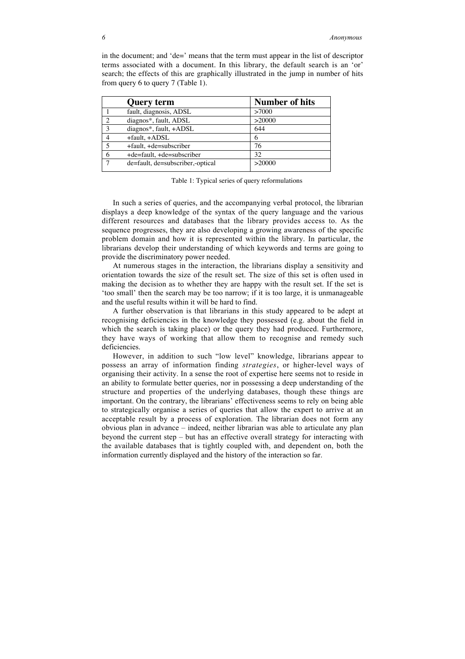in the document; and 'de=' means that the term must appear in the list of descriptor terms associated with a document. In this library, the default search is an 'or' search; the effects of this are graphically illustrated in the jump in number of hits from query 6 to query 7 (Table 1).

|                          | <b>Query term</b>                | <b>Number of hits</b> |
|--------------------------|----------------------------------|-----------------------|
|                          | fault, diagnosis, ADSL           | >7000                 |
| $\mathfrak{D}$           | diagnos*, fault, ADSL            | >20000                |
| 3                        | diagnos*, fault, +ADSL           | 644                   |
| 4                        | +fault, +ADSL                    | 6                     |
| $\overline{\phantom{0}}$ | +fault, +de=subscriber           | 76                    |
| 6                        | +de=fault, +de=subscriber        | 32                    |
| $\mathbf{7}$             | de=fault, de=subscriber,-optical | >20000                |
|                          |                                  |                       |

Table 1: Typical series of query reformulations

In such a series of queries, and the accompanying verbal protocol, the librarian displays a deep knowledge of the syntax of the query language and the various different resources and databases that the library provides access to. As the sequence progresses, they are also developing a growing awareness of the specific problem domain and how it is represented within the library. In particular, the librarians develop their understanding of which keywords and terms are going to provide the discriminatory power needed.

At numerous stages in the interaction, the librarians display a sensitivity and orientation towards the size of the result set. The size of this set is often used in making the decision as to whether they are happy with the result set. If the set is 'too small' then the search may be too narrow; if it is too large, it is unmanageable and the useful results within it will be hard to find.

A further observation is that librarians in this study appeared to be adept at recognising deficiencies in the knowledge they possessed (e.g. about the field in which the search is taking place) or the query they had produced. Furthermore, they have ways of working that allow them to recognise and remedy such deficiencies.

However, in addition to such "low level" knowledge, librarians appear to possess an array of information finding *strategies*, or higher-level ways of organising their activity. In a sense the root of expertise here seems not to reside in an ability to formulate better queries, nor in possessing a deep understanding of the structure and properties of the underlying databases, though these things are important. On the contrary, the librarians' effectiveness seems to rely on being able to strategically organise a series of queries that allow the expert to arrive at an acceptable result by a process of exploration. The librarian does not form any obvious plan in advance – indeed, neither librarian was able to articulate any plan beyond the current step – but has an effective overall strategy for interacting with the available databases that is tightly coupled with, and dependent on, both the information currently displayed and the history of the interaction so far.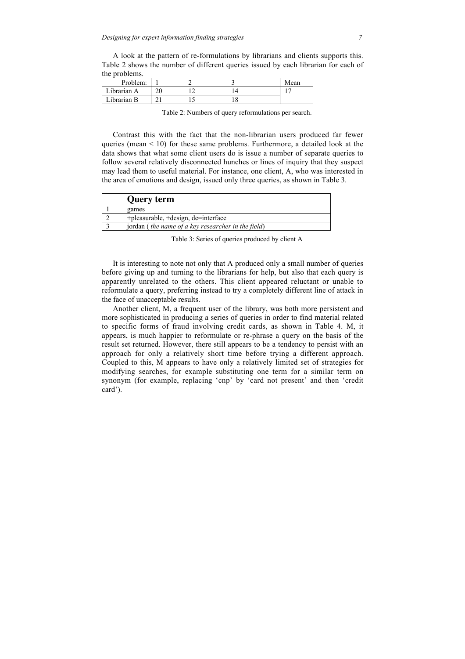A look at the pattern of re-formulations by librarians and clients supports this. Table 2 shows the number of different queries issued by each librarian for each of the problems.

| Problem:    |    |  | Mean |
|-------------|----|--|------|
| Librarian A | o٥ |  |      |
| .ibrarian B |    |  |      |

Table 2: Numbers of query reformulations per search.

Contrast this with the fact that the non-librarian users produced far fewer queries (mean < 10) for these same problems. Furthermore, a detailed look at the data shows that what some client users do is issue a number of separate queries to follow several relatively disconnected hunches or lines of inquiry that they suspect may lead them to useful material. For instance, one client, A, who was interested in the area of emotions and design, issued only three queries, as shown in Table 3.

| <b>Query term</b>                                           |
|-------------------------------------------------------------|
| games                                                       |
| $+$ pleasurable, $+$ design, de=interface                   |
| jordan ( <i>the name of a key researcher in the field</i> ) |

Table 3: Series of queries produced by client A

It is interesting to note not only that A produced only a small number of queries before giving up and turning to the librarians for help, but also that each query is apparently unrelated to the others. This client appeared reluctant or unable to reformulate a query, preferring instead to try a completely different line of attack in the face of unacceptable results.

Another client, M, a frequent user of the library, was both more persistent and more sophisticated in producing a series of queries in order to find material related to specific forms of fraud involving credit cards, as shown in Table 4. M, it appears, is much happier to reformulate or re-phrase a query on the basis of the result set returned. However, there still appears to be a tendency to persist with an approach for only a relatively short time before trying a different approach. Coupled to this, M appears to have only a relatively limited set of strategies for modifying searches, for example substituting one term for a similar term on synonym (for example, replacing 'cnp' by 'card not present' and then 'credit card').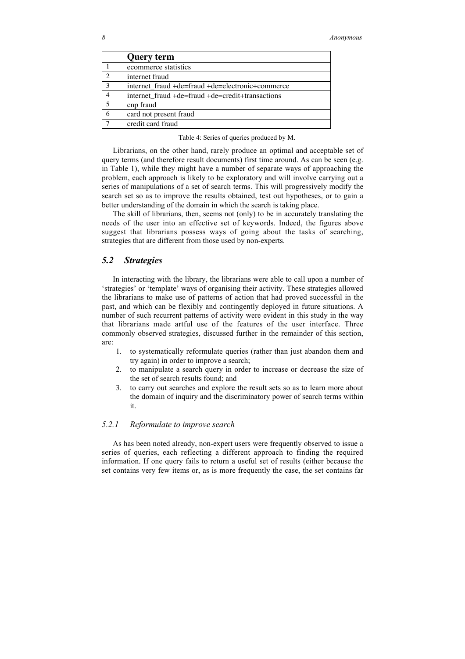|              | <b>Query term</b>                                |
|--------------|--------------------------------------------------|
|              | ecommerce statistics                             |
|              | internet fraud                                   |
| $\mathbf{a}$ | internet fraud +de=fraud +de=electronic+commerce |
|              | internet fraud +de=fraud +de=credit+transactions |
|              | cnp fraud                                        |
|              | card not present fraud                           |
|              | credit card fraud                                |

Table 4: Series of queries produced by M.

Librarians, on the other hand, rarely produce an optimal and acceptable set of query terms (and therefore result documents) first time around. As can be seen (e.g. in Table 1), while they might have a number of separate ways of approaching the problem, each approach is likely to be exploratory and will involve carrying out a series of manipulations of a set of search terms. This will progressively modify the search set so as to improve the results obtained, test out hypotheses, or to gain a better understanding of the domain in which the search is taking place.

The skill of librarians, then, seems not (only) to be in accurately translating the needs of the user into an effective set of keywords. Indeed, the figures above suggest that librarians possess ways of going about the tasks of searching, strategies that are different from those used by non-experts.

## *5.2 Strategies*

In interacting with the library, the librarians were able to call upon a number of 'strategies' or 'template' ways of organising their activity. These strategies allowed the librarians to make use of patterns of action that had proved successful in the past, and which can be flexibly and contingently deployed in future situations. A number of such recurrent patterns of activity were evident in this study in the way that librarians made artful use of the features of the user interface. Three commonly observed strategies, discussed further in the remainder of this section, are:

- 1. to systematically reformulate queries (rather than just abandon them and try again) in order to improve a search;
- 2. to manipulate a search query in order to increase or decrease the size of the set of search results found; and
- 3. to carry out searches and explore the result sets so as to learn more about the domain of inquiry and the discriminatory power of search terms within it.

### *5.2.1 Reformulate to improve search*

As has been noted already, non-expert users were frequently observed to issue a series of queries, each reflecting a different approach to finding the required information. If one query fails to return a useful set of results (either because the set contains very few items or, as is more frequently the case, the set contains far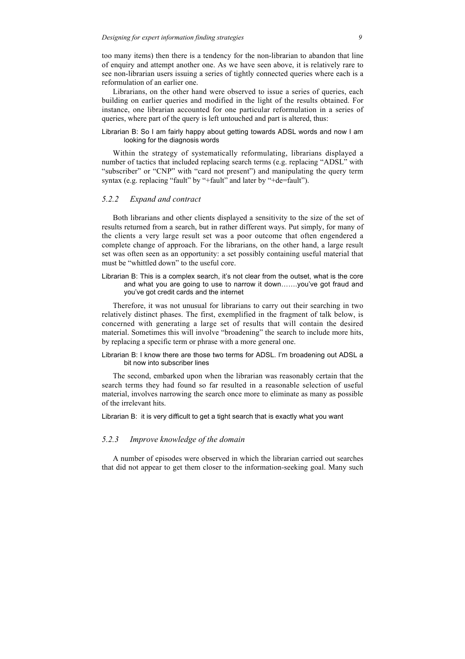too many items) then there is a tendency for the non-librarian to abandon that line of enquiry and attempt another one. As we have seen above, it is relatively rare to see non-librarian users issuing a series of tightly connected queries where each is a reformulation of an earlier one.

Librarians, on the other hand were observed to issue a series of queries, each building on earlier queries and modified in the light of the results obtained. For instance, one librarian accounted for one particular reformulation in a series of queries, where part of the query is left untouched and part is altered, thus:

#### Librarian B: So I am fairly happy about getting towards ADSL words and now I am looking for the diagnosis words

Within the strategy of systematically reformulating, librarians displayed a number of tactics that included replacing search terms (e.g. replacing "ADSL" with "subscriber" or "CNP" with "card not present") and manipulating the query term syntax (e.g. replacing "fault" by "+fault" and later by "+de=fault").

#### *5.2.2 Expand and contract*

Both librarians and other clients displayed a sensitivity to the size of the set of results returned from a search, but in rather different ways. Put simply, for many of the clients a very large result set was a poor outcome that often engendered a complete change of approach. For the librarians, on the other hand, a large result set was often seen as an opportunity: a set possibly containing useful material that must be "whittled down" to the useful core.

Librarian B: This is a complex search, it's not clear from the outset, what is the core and what you are going to use to narrow it down…….you've got fraud and you've got credit cards and the internet

Therefore, it was not unusual for librarians to carry out their searching in two relatively distinct phases. The first, exemplified in the fragment of talk below, is concerned with generating a large set of results that will contain the desired material. Sometimes this will involve "broadening" the search to include more hits, by replacing a specific term or phrase with a more general one.

#### Librarian B: I know there are those two terms for ADSL. I'm broadening out ADSL a bit now into subscriber lines

The second, embarked upon when the librarian was reasonably certain that the search terms they had found so far resulted in a reasonable selection of useful material, involves narrowing the search once more to eliminate as many as possible of the irrelevant hits.

Librarian B: it is very difficult to get a tight search that is exactly what you want

## *5.2.3 Improve knowledge of the domain*

A number of episodes were observed in which the librarian carried out searches that did not appear to get them closer to the information-seeking goal. Many such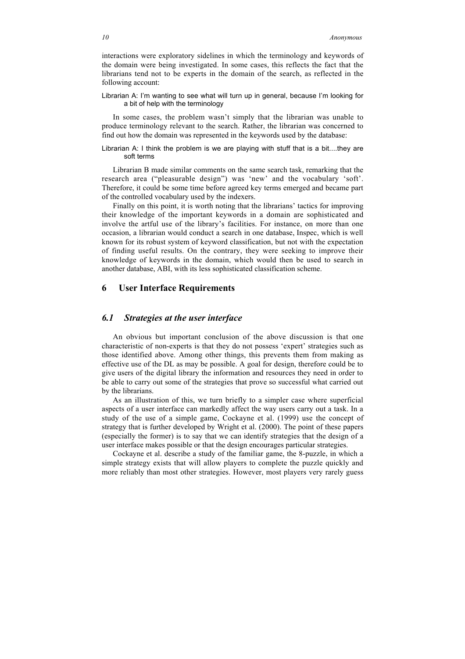interactions were exploratory sidelines in which the terminology and keywords of the domain were being investigated. In some cases, this reflects the fact that the librarians tend not to be experts in the domain of the search, as reflected in the following account:

Librarian A: I'm wanting to see what will turn up in general, because I'm looking for a bit of help with the terminology

In some cases, the problem wasn't simply that the librarian was unable to produce terminology relevant to the search. Rather, the librarian was concerned to find out how the domain was represented in the keywords used by the database:

#### Librarian A: I think the problem is we are playing with stuff that is a bit....they are soft terms

Librarian B made similar comments on the same search task, remarking that the research area ("pleasurable design") was 'new' and the vocabulary 'soft'. Therefore, it could be some time before agreed key terms emerged and became part of the controlled vocabulary used by the indexers.

Finally on this point, it is worth noting that the librarians' tactics for improving their knowledge of the important keywords in a domain are sophisticated and involve the artful use of the library's facilities. For instance, on more than one occasion, a librarian would conduct a search in one database, Inspec, which is well known for its robust system of keyword classification, but not with the expectation of finding useful results. On the contrary, they were seeking to improve their knowledge of keywords in the domain, which would then be used to search in another database, ABI, with its less sophisticated classification scheme.

# **6 User Interface Requirements**

#### *6.1 Strategies at the user interface*

An obvious but important conclusion of the above discussion is that one characteristic of non-experts is that they do not possess 'expert' strategies such as those identified above. Among other things, this prevents them from making as effective use of the DL as may be possible. A goal for design, therefore could be to give users of the digital library the information and resources they need in order to be able to carry out some of the strategies that prove so successful what carried out by the librarians.

As an illustration of this, we turn briefly to a simpler case where superficial aspects of a user interface can markedly affect the way users carry out a task. In a study of the use of a simple game, Cockayne et al. (1999) use the concept of strategy that is further developed by Wright et al. (2000). The point of these papers (especially the former) is to say that we can identify strategies that the design of a user interface makes possible or that the design encourages particular strategies.

Cockayne et al. describe a study of the familiar game, the 8-puzzle, in which a simple strategy exists that will allow players to complete the puzzle quickly and more reliably than most other strategies. However, most players very rarely guess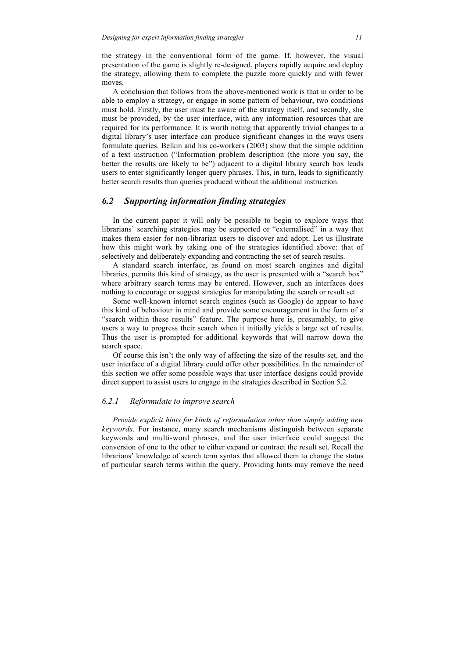the strategy in the conventional form of the game. If, however, the visual presentation of the game is slightly re-designed, players rapidly acquire and deploy the strategy, allowing them to complete the puzzle more quickly and with fewer moves.

A conclusion that follows from the above-mentioned work is that in order to be able to employ a strategy, or engage in some pattern of behaviour, two conditions must hold. Firstly, the user must be aware of the strategy itself, and secondly, she must be provided, by the user interface, with any information resources that are required for its performance. It is worth noting that apparently trivial changes to a digital library's user interface can produce significant changes in the ways users formulate queries. Belkin and his co-workers (2003) show that the simple addition of a text instruction ("Information problem description (the more you say, the better the results are likely to be") adjacent to a digital library search box leads users to enter significantly longer query phrases. This, in turn, leads to significantly better search results than queries produced without the additional instruction.

## *6.2 Supporting information finding strategies*

In the current paper it will only be possible to begin to explore ways that librarians' searching strategies may be supported or "externalised" in a way that makes them easier for non-librarian users to discover and adopt. Let us illustrate how this might work by taking one of the strategies identified above: that of selectively and deliberately expanding and contracting the set of search results.

A standard search interface, as found on most search engines and digital libraries, permits this kind of strategy, as the user is presented with a "search box" where arbitrary search terms may be entered. However, such an interfaces does nothing to encourage or suggest strategies for manipulating the search or result set.

Some well-known internet search engines (such as Google) do appear to have this kind of behaviour in mind and provide some encouragement in the form of a "search within these results" feature. The purpose here is, presumably, to give users a way to progress their search when it initially yields a large set of results. Thus the user is prompted for additional keywords that will narrow down the search space.

Of course this isn't the only way of affecting the size of the results set, and the user interface of a digital library could offer other possibilities. In the remainder of this section we offer some possible ways that user interface designs could provide direct support to assist users to engage in the strategies described in Section 5.2.

#### *6.2.1 Reformulate to improve search*

*Provide explicit hints for kinds of reformulation other than simply adding new keywords.* For instance, many search mechanisms distinguish between separate keywords and multi-word phrases, and the user interface could suggest the conversion of one to the other to either expand or contract the result set. Recall the librarians' knowledge of search term syntax that allowed them to change the status of particular search terms within the query. Providing hints may remove the need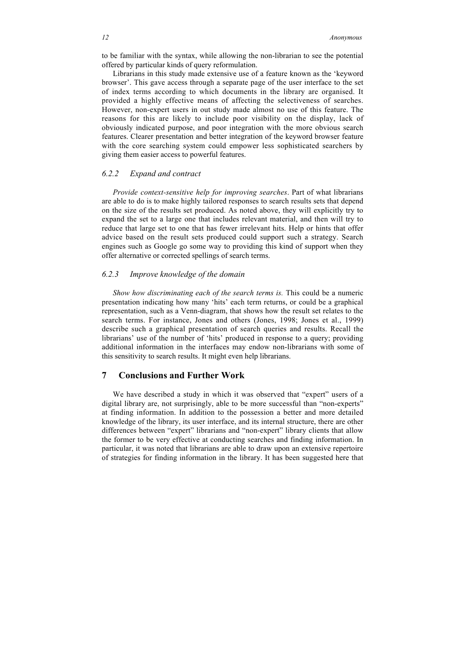to be familiar with the syntax, while allowing the non-librarian to see the potential offered by particular kinds of query reformulation.

Librarians in this study made extensive use of a feature known as the 'keyword browser'. This gave access through a separate page of the user interface to the set of index terms according to which documents in the library are organised. It provided a highly effective means of affecting the selectiveness of searches. However, non-expert users in out study made almost no use of this feature. The reasons for this are likely to include poor visibility on the display, lack of obviously indicated purpose, and poor integration with the more obvious search features. Clearer presentation and better integration of the keyword browser feature with the core searching system could empower less sophisticated searchers by giving them easier access to powerful features.

#### *6.2.2 Expand and contract*

*Provide context-sensitive help for improving searches*. Part of what librarians are able to do is to make highly tailored responses to search results sets that depend on the size of the results set produced. As noted above, they will explicitly try to expand the set to a large one that includes relevant material, and then will try to reduce that large set to one that has fewer irrelevant hits. Help or hints that offer advice based on the result sets produced could support such a strategy. Search engines such as Google go some way to providing this kind of support when they offer alternative or corrected spellings of search terms.

#### *6.2.3 Improve knowledge of the domain*

*Show how discriminating each of the search terms is.* This could be a numeric presentation indicating how many 'hits' each term returns, or could be a graphical representation, such as a Venn-diagram, that shows how the result set relates to the search terms. For instance, Jones and others (Jones, 1998; Jones et al., 1999) describe such a graphical presentation of search queries and results. Recall the librarians' use of the number of 'hits' produced in response to a query; providing additional information in the interfaces may endow non-librarians with some of this sensitivity to search results. It might even help librarians.

#### **7 Conclusions and Further Work**

We have described a study in which it was observed that "expert" users of a digital library are, not surprisingly, able to be more successful than "non-experts" at finding information. In addition to the possession a better and more detailed knowledge of the library, its user interface, and its internal structure, there are other differences between "expert" librarians and "non-expert" library clients that allow the former to be very effective at conducting searches and finding information. In particular, it was noted that librarians are able to draw upon an extensive repertoire of strategies for finding information in the library. It has been suggested here that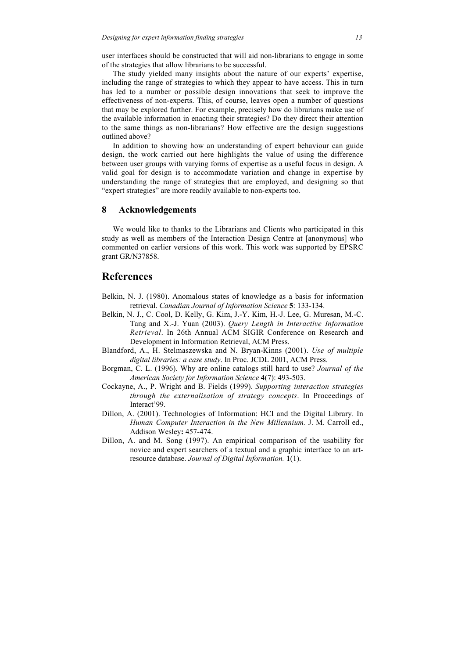user interfaces should be constructed that will aid non-librarians to engage in some of the strategies that allow librarians to be successful.

The study yielded many insights about the nature of our experts' expertise, including the range of strategies to which they appear to have access. This in turn has led to a number or possible design innovations that seek to improve the effectiveness of non-experts. This, of course, leaves open a number of questions that may be explored further. For example, precisely how do librarians make use of the available information in enacting their strategies? Do they direct their attention to the same things as non-librarians? How effective are the design suggestions outlined above?

In addition to showing how an understanding of expert behaviour can guide design, the work carried out here highlights the value of using the difference between user groups with varying forms of expertise as a useful focus in design. A valid goal for design is to accommodate variation and change in expertise by understanding the range of strategies that are employed, and designing so that "expert strategies" are more readily available to non-experts too.

#### **8 Acknowledgements**

We would like to thanks to the Librarians and Clients who participated in this study as well as members of the Interaction Design Centre at [anonymous] who commented on earlier versions of this work. This work was supported by EPSRC grant GR/N37858.

# **References**

- Belkin, N. J. (1980). Anomalous states of knowledge as a basis for information retrieval. *Canadian Journal of Information Science* **5**: 133-134.
- Belkin, N. J., C. Cool, D. Kelly, G. Kim, J.-Y. Kim, H.-J. Lee, G. Muresan, M.-C. Tang and X.-J. Yuan (2003). *Query Length in Interactive Information Retrieval*. In 26th Annual ACM SIGIR Conference on Research and Development in Information Retrieval, ACM Press.
- Blandford, A., H. Stelmaszewska and N. Bryan-Kinns (2001). *Use of multiple digital libraries: a case study*. In Proc. JCDL 2001, ACM Press.
- Borgman, C. L. (1996). Why are online catalogs still hard to use? *Journal of the American Society for Information Science* **4**(7): 493-503.
- Cockayne, A., P. Wright and B. Fields (1999). *Supporting interaction strategies through the externalisation of strategy concepts*. In Proceedings of Interact'99.
- Dillon, A. (2001). Technologies of Information: HCI and the Digital Library. In *Human Computer Interaction in the New Millennium.* J. M. Carroll ed., Addison Wesley**:** 457-474.
- Dillon, A. and M. Song (1997). An empirical comparison of the usability for novice and expert searchers of a textual and a graphic interface to an artresource database. *Journal of Digital Information.* **1**(1).